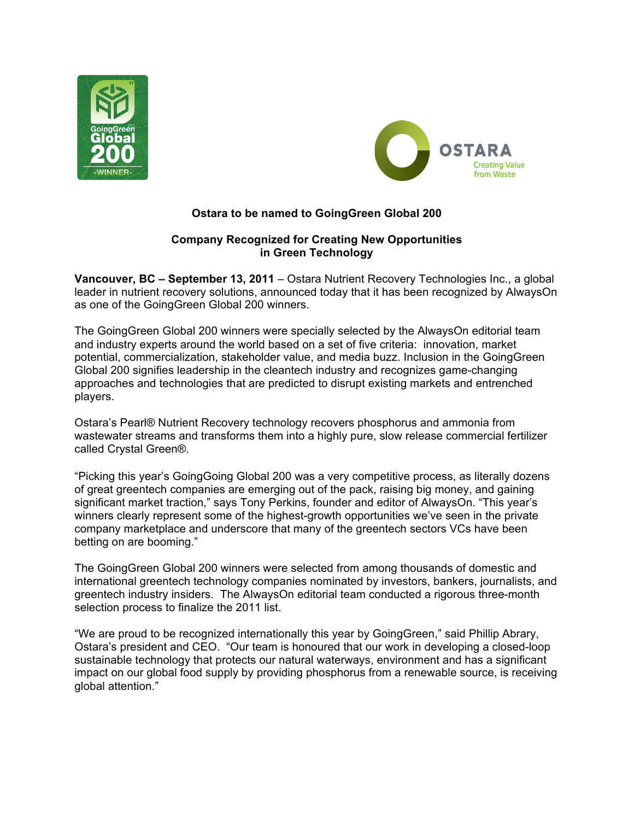



# **Ostara to be named to GoingGreen Global 200**

# **Company Recognized for Creating New Opportunities in Green Technology**

**Vancouver, BC – September 13, 2011** – Ostara Nutrient Recovery Technologies Inc., a global leader in nutrient recovery solutions, announced today that it has been recognized by AlwaysOn as one of the GoingGreen Global 200 winners.

The GoingGreen Global 200 winners were specially selected by the AlwaysOn editorial team and industry experts around the world based on a set of five criteria: innovation, market potential, commercialization, stakeholder value, and media buzz. Inclusion in the GoingGreen Global 200 signifies leadership in the cleantech industry and recognizes game-changing approaches and technologies that are predicted to disrupt existing markets and entrenched players.

Ostara's Pearl® Nutrient Recovery technology recovers phosphorus and ammonia from wastewater streams and transforms them into a highly pure, slow release commercial fertilizer called Crystal Green®.

"Picking this year's GoingGoing Global 200 was a very competitive process, as literally dozens of great greentech companies are emerging out of the pack, raising big money, and gaining significant market traction," says Tony Perkins, founder and editor of AlwaysOn. "This year's winners clearly represent some of the highest-growth opportunities we've seen in the private company marketplace and underscore that many of the greentech sectors VCs have been betting on are booming."

The GoingGreen Global 200 winners were selected from among thousands of domestic and international greentech technology companies nominated by investors, bankers, journalists, and greentech industry insiders. The AlwaysOn editorial team conducted a rigorous three-month selection process to finalize the 2011 list.

"We are proud to be recognized internationally this year by GoingGreen," said Phillip Abrary, Ostara's president and CEO. "Our team is honoured that our work in developing a closed-loop sustainable technology that protects our natural waterways, environment and has a significant impact on our global food supply by providing phosphorus from a renewable source, is receiving global attention."